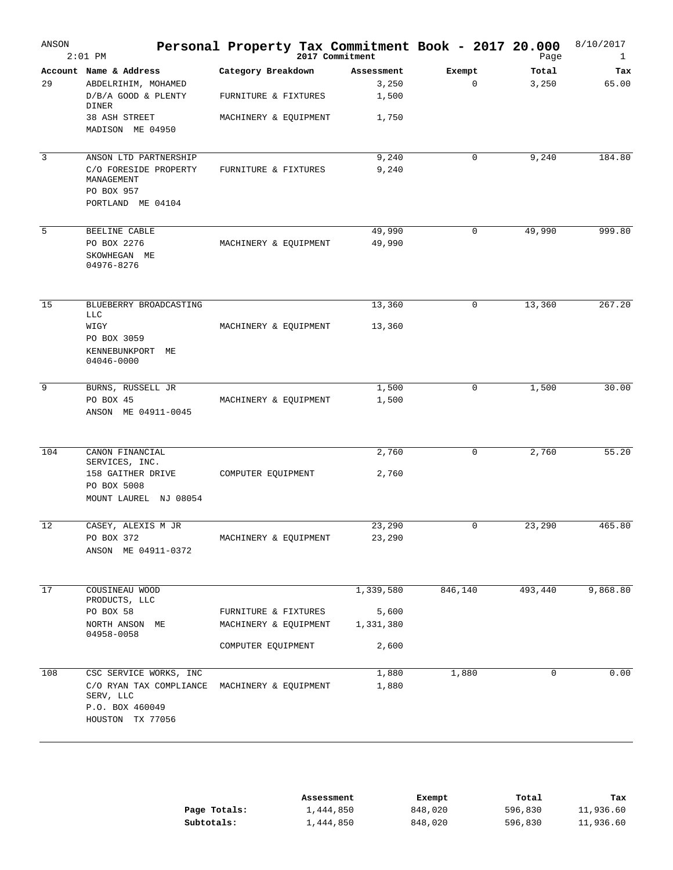| ANSON | $2:01$ PM                                               | Personal Property Tax Commitment Book - 2017 20.000 | 2017 Commitment |             | Page    | 8/10/2017<br>$\mathbf{1}$ |
|-------|---------------------------------------------------------|-----------------------------------------------------|-----------------|-------------|---------|---------------------------|
|       | Account Name & Address                                  | Category Breakdown                                  | Assessment      | Exempt      | Total   | Tax                       |
| 29    | ABDELRIHIM, MOHAMED                                     |                                                     | 3,250           | $\mathbf 0$ | 3,250   | 65.00                     |
|       | D/B/A GOOD & PLENTY<br>DINER                            | FURNITURE & FIXTURES                                | 1,500           |             |         |                           |
|       | 38 ASH STREET                                           | MACHINERY & EQUIPMENT                               | 1,750           |             |         |                           |
|       | MADISON ME 04950                                        |                                                     |                 |             |         |                           |
| 3     | ANSON LTD PARTNERSHIP                                   |                                                     | 9,240           | 0           | 9,240   | 184.80                    |
|       | C/O FORESIDE PROPERTY<br>MANAGEMENT                     | FURNITURE & FIXTURES                                | 9,240           |             |         |                           |
|       | PO BOX 957<br>PORTLAND ME 04104                         |                                                     |                 |             |         |                           |
| 5     | BEELINE CABLE                                           |                                                     | 49,990          | 0           | 49,990  | 999.80                    |
|       | PO BOX 2276                                             | MACHINERY & EQUIPMENT                               | 49,990          |             |         |                           |
|       | SKOWHEGAN ME<br>04976-8276                              |                                                     |                 |             |         |                           |
| 15    | BLUEBERRY BROADCASTING                                  |                                                     | 13,360          | 0           | 13,360  | 267.20                    |
|       | LLC<br>WIGY                                             | MACHINERY & EQUIPMENT                               | 13,360          |             |         |                           |
|       | PO BOX 3059                                             |                                                     |                 |             |         |                           |
|       | KENNEBUNKPORT<br>MЕ<br>04046-0000                       |                                                     |                 |             |         |                           |
| 9     | BURNS, RUSSELL JR                                       |                                                     | 1,500           | 0           | 1,500   | 30.00                     |
|       | PO BOX 45                                               | MACHINERY & EQUIPMENT                               | 1,500           |             |         |                           |
|       | ANSON ME 04911-0045                                     |                                                     |                 |             |         |                           |
| 104   | CANON FINANCIAL                                         |                                                     | 2,760           | 0           | 2,760   | 55.20                     |
|       | SERVICES, INC.                                          |                                                     |                 |             |         |                           |
|       | 158 GAITHER DRIVE<br>PO BOX 5008                        | COMPUTER EQUIPMENT                                  | 2,760           |             |         |                           |
|       | MOUNT LAUREL NJ 08054                                   |                                                     |                 |             |         |                           |
| 12    | CASEY, ALEXIS M JR                                      |                                                     | 23,290          | 0           | 23,290  | 465.80                    |
|       | PO BOX 372                                              | MACHINERY & EQUIPMENT                               | 23,290          |             |         |                           |
|       | ANSON ME 04911-0372                                     |                                                     |                 |             |         |                           |
| 17    | COUSINEAU WOOD                                          |                                                     | 1,339,580       | 846,140     | 493,440 | 9,868.80                  |
|       | PRODUCTS, LLC                                           |                                                     |                 |             |         |                           |
|       | PO BOX 58                                               | FURNITURE & FIXTURES                                | 5,600           |             |         |                           |
|       | NORTH ANSON ME<br>04958-0058                            | MACHINERY & EQUIPMENT                               | 1,331,380       |             |         |                           |
|       |                                                         | COMPUTER EQUIPMENT                                  | 2,600           |             |         |                           |
| 108   | CSC SERVICE WORKS, INC                                  |                                                     | 1,880           | 1,880       | 0       | 0.00                      |
|       | C/O RYAN TAX COMPLIANCE<br>SERV, LLC<br>P.O. BOX 460049 | MACHINERY & EQUIPMENT                               | 1,880           |             |         |                           |
|       | HOUSTON TX 77056                                        |                                                     |                 |             |         |                           |
|       |                                                         |                                                     |                 |             |         |                           |

|              | Assessment | Exempt  | Total   | Tax       |
|--------------|------------|---------|---------|-----------|
| Page Totals: | 1,444,850  | 848,020 | 596,830 | 11,936.60 |
| Subtotals:   | 1,444,850  | 848,020 | 596,830 | 11,936.60 |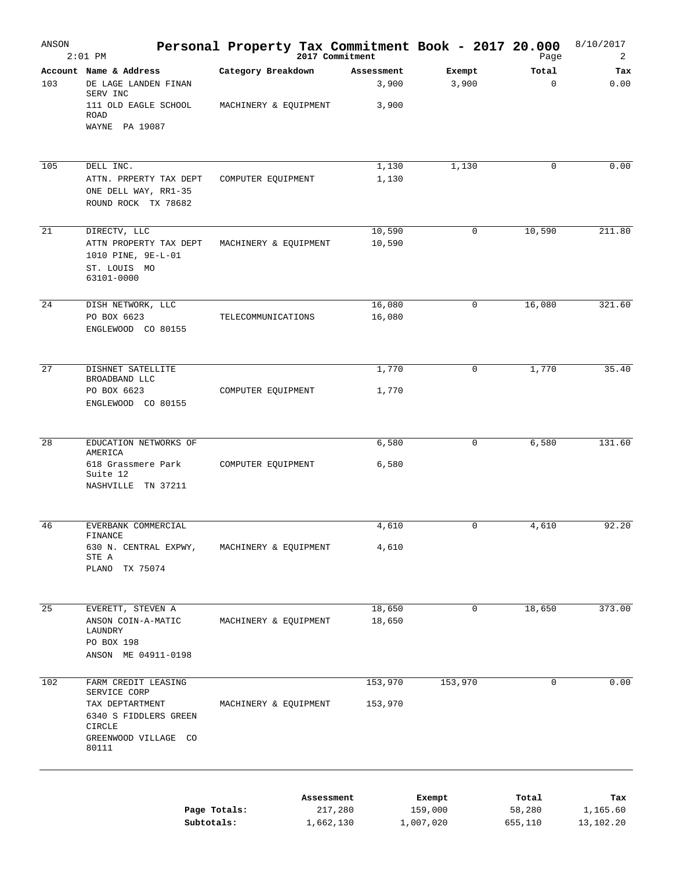| ANSON | $2:01$ PM                                                                  |                       |            | 2017 Commitment |             | Personal Property Tax Commitment Book - 2017 20.000<br>Page | 8/10/2017<br>2 |
|-------|----------------------------------------------------------------------------|-----------------------|------------|-----------------|-------------|-------------------------------------------------------------|----------------|
|       | Account Name & Address                                                     | Category Breakdown    |            | Assessment      | Exempt      | Total                                                       | Tax            |
| 103   | DE LAGE LANDEN FINAN<br>SERV INC                                           |                       |            | 3,900           | 3,900       | $\mathbf 0$                                                 | 0.00           |
|       | 111 OLD EAGLE SCHOOL<br>ROAD<br>WAYNE PA 19087                             | MACHINERY & EQUIPMENT |            | 3,900           |             |                                                             |                |
|       |                                                                            |                       |            |                 |             |                                                             |                |
| 105   | DELL INC.                                                                  |                       |            | 1,130           | 1,130       | 0                                                           | 0.00           |
|       | ATTN. PRPERTY TAX DEPT<br>ONE DELL WAY, RR1-35<br>ROUND ROCK TX 78682      | COMPUTER EQUIPMENT    |            | 1,130           |             |                                                             |                |
| 21    | DIRECTV, LLC                                                               |                       |            | 10,590          | 0           | 10,590                                                      | 211.80         |
|       | ATTN PROPERTY TAX DEPT<br>1010 PINE, 9E-L-01<br>ST. LOUIS MO<br>63101-0000 | MACHINERY & EQUIPMENT |            | 10,590          |             |                                                             |                |
| 24    | DISH NETWORK, LLC                                                          |                       |            | 16,080          | 0           | 16,080                                                      | 321.60         |
|       | PO BOX 6623<br>ENGLEWOOD CO 80155                                          | TELECOMMUNICATIONS    |            | 16,080          |             |                                                             |                |
| 27    | DISHNET SATELLITE                                                          |                       |            | 1,770           | 0           | 1,770                                                       | 35.40          |
|       | BROADBAND LLC<br>PO BOX 6623<br>ENGLEWOOD CO 80155                         | COMPUTER EQUIPMENT    |            | 1,770           |             |                                                             |                |
|       |                                                                            |                       |            |                 |             |                                                             |                |
| 28    | EDUCATION NETWORKS OF<br>AMERICA                                           |                       |            | 6,580           | 0           | 6,580                                                       | 131.60         |
|       | 618 Grassmere Park<br>Suite 12<br>NASHVILLE TN 37211                       | COMPUTER EQUIPMENT    |            | 6,580           |             |                                                             |                |
|       |                                                                            |                       |            |                 |             |                                                             |                |
| 46    | EVERBANK COMMERCIAL                                                        |                       |            | 4,610           | 0           | 4,610                                                       | 92.20          |
|       | FINANCE<br>630 N. CENTRAL EXPWY,<br>STE A                                  | MACHINERY & EQUIPMENT |            | 4,610           |             |                                                             |                |
|       | PLANO TX 75074                                                             |                       |            |                 |             |                                                             |                |
| 25    | EVERETT, STEVEN A                                                          |                       |            | 18,650          | $\mathbf 0$ | 18,650                                                      | 373.00         |
|       | ANSON COIN-A-MATIC<br>LAUNDRY<br>PO BOX 198                                | MACHINERY & EQUIPMENT |            | 18,650          |             |                                                             |                |
|       | ANSON ME 04911-0198                                                        |                       |            |                 |             |                                                             |                |
| 102   | FARM CREDIT LEASING<br>SERVICE CORP                                        |                       |            | 153,970         | 153,970     | $\mathbf 0$                                                 | 0.00           |
|       | TAX DEPTARTMENT<br>6340 S FIDDLERS GREEN                                   | MACHINERY & EQUIPMENT |            | 153,970         |             |                                                             |                |
|       | <b>CIRCLE</b><br>GREENWOOD VILLAGE CO<br>80111                             |                       |            |                 |             |                                                             |                |
|       |                                                                            |                       | Assessment |                 | Exempt      | Total                                                       | Tax            |
|       |                                                                            | Page Totals:          |            | 217,280         | 159,000     | 58,280                                                      | 1,165.60       |

**Subtotals:** 1,662,130 1,007,020 655,110 13,102.20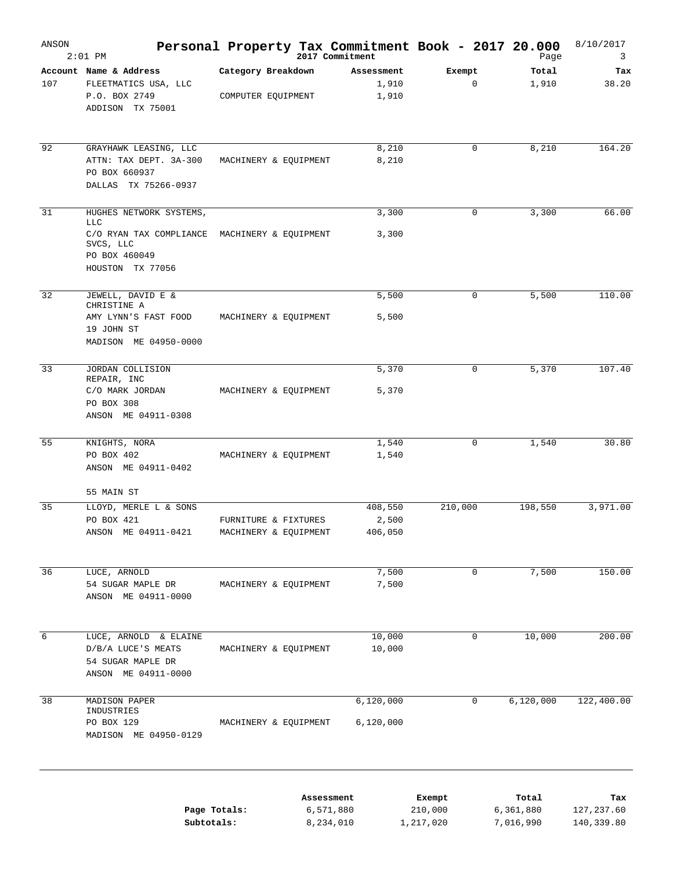| ANSON | $2:01$ PM                                                                                                     |                                               |            | Personal Property Tax Commitment Book - 2017 20.000<br>2017 Commitment |                                | Page                            | 8/10/2017<br>3                   |
|-------|---------------------------------------------------------------------------------------------------------------|-----------------------------------------------|------------|------------------------------------------------------------------------|--------------------------------|---------------------------------|----------------------------------|
|       | Account Name & Address                                                                                        | Category Breakdown                            |            | Assessment                                                             | Exempt                         | Total                           | Tax                              |
| 107   | FLEETMATICS USA, LLC                                                                                          |                                               |            | 1,910                                                                  | $\mathbf 0$                    | 1,910                           | 38.20                            |
|       | P.O. BOX 2749<br>ADDISON TX 75001                                                                             | COMPUTER EQUIPMENT                            |            | 1,910                                                                  |                                |                                 |                                  |
| 92    | GRAYHAWK LEASING, LLC                                                                                         |                                               |            | 8,210                                                                  | $\mathbf 0$                    | 8,210                           | 164.20                           |
|       | ATTN: TAX DEPT. 3A-300<br>PO BOX 660937<br>DALLAS TX 75266-0937                                               | MACHINERY & EQUIPMENT                         |            | 8,210                                                                  |                                |                                 |                                  |
| 31    | HUGHES NETWORK SYSTEMS,                                                                                       |                                               |            | 3,300                                                                  | $\mathbf 0$                    | 3,300                           | 66.00                            |
|       | <b>LLC</b><br>C/O RYAN TAX COMPLIANCE MACHINERY & EQUIPMENT<br>SVCS, LLC<br>PO BOX 460049<br>HOUSTON TX 77056 |                                               |            | 3,300                                                                  |                                |                                 |                                  |
| 32    | JEWELL, DAVID E &<br>CHRISTINE A                                                                              |                                               |            | 5,500                                                                  | $\mathbf 0$                    | 5,500                           | 110.00                           |
|       | AMY LYNN'S FAST FOOD<br>19 JOHN ST<br>MADISON ME 04950-0000                                                   | MACHINERY & EQUIPMENT                         |            | 5,500                                                                  |                                |                                 |                                  |
| 33    | JORDAN COLLISION                                                                                              |                                               |            | 5,370                                                                  | 0                              | 5,370                           | 107.40                           |
|       | REPAIR, INC<br>C/O MARK JORDAN<br>PO BOX 308<br>ANSON ME 04911-0308                                           | MACHINERY & EQUIPMENT                         |            | 5,370                                                                  |                                |                                 |                                  |
| 55    | KNIGHTS, NORA                                                                                                 |                                               |            | 1,540                                                                  | 0                              | 1,540                           | 30.80                            |
|       | PO BOX 402<br>ANSON ME 04911-0402                                                                             | MACHINERY & EQUIPMENT                         |            | 1,540                                                                  |                                |                                 |                                  |
|       | 55 MAIN ST                                                                                                    |                                               |            |                                                                        |                                |                                 |                                  |
| 35    | LLOYD, MERLE L & SONS                                                                                         |                                               |            | 408,550                                                                | 210,000                        | 198,550                         | 3,971.00                         |
|       | PO BOX 421<br>ANSON ME 04911-0421                                                                             | FURNITURE & FIXTURES<br>MACHINERY & EQUIPMENT |            | 2,500<br>406,050                                                       |                                |                                 |                                  |
| 36    | LUCE, ARNOLD                                                                                                  |                                               |            | 7,500                                                                  | 0                              | 7,500                           | 150.00                           |
|       | 54 SUGAR MAPLE DR<br>ANSON ME 04911-0000                                                                      | MACHINERY & EQUIPMENT                         |            | 7,500                                                                  |                                |                                 |                                  |
| 6     | LUCE, ARNOLD & ELAINE                                                                                         |                                               |            | 10,000                                                                 | 0                              | 10,000                          | 200.00                           |
|       | D/B/A LUCE'S MEATS<br>54 SUGAR MAPLE DR<br>ANSON ME 04911-0000                                                | MACHINERY & EQUIPMENT                         |            | 10,000                                                                 |                                |                                 |                                  |
| 38    | MADISON PAPER<br>INDUSTRIES<br>PO BOX 129                                                                     | MACHINERY & EQUIPMENT                         |            | 6,120,000<br>6,120,000                                                 | 0                              | 6,120,000                       | 122,400.00                       |
|       | MADISON ME 04950-0129<br>Page Totals:<br>Subtotals:                                                           |                                               | Assessment | 6,571,880<br>8,234,010                                                 | Exempt<br>210,000<br>1,217,020 | Total<br>6,361,880<br>7,016,990 | Tax<br>127, 237.60<br>140,339.80 |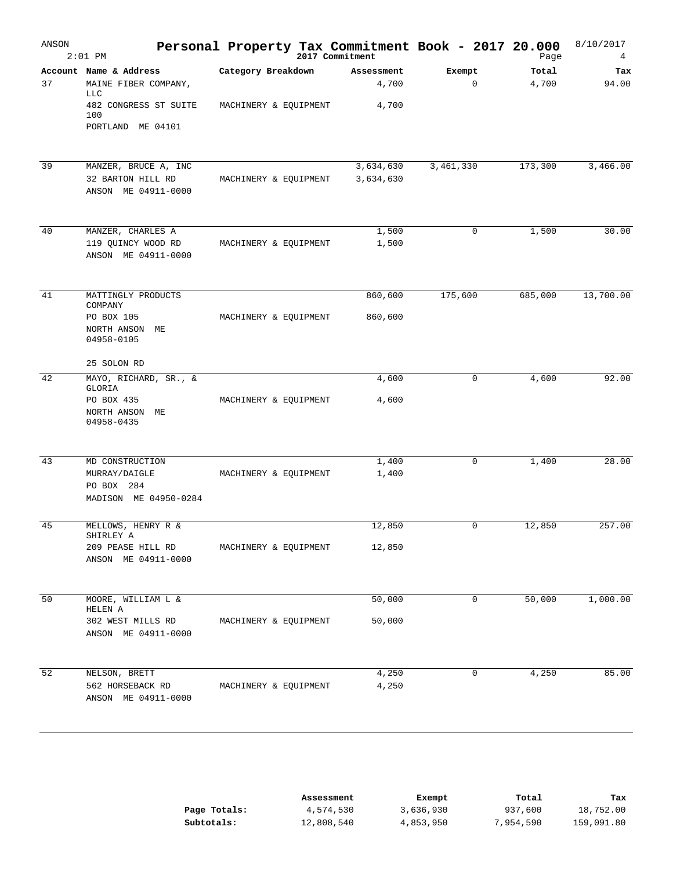| ANSON | $2:01$ PM                                                                     | Personal Property Tax Commitment Book - 2017 20.000 | 2017 Commitment        |                       | Page           | 8/10/2017<br>4 |
|-------|-------------------------------------------------------------------------------|-----------------------------------------------------|------------------------|-----------------------|----------------|----------------|
| 37    | Account Name & Address<br>MAINE FIBER COMPANY,<br>LLC                         | Category Breakdown                                  | Assessment<br>4,700    | Exempt<br>$\mathbf 0$ | Total<br>4,700 | Tax<br>94.00   |
|       | 482 CONGRESS ST SUITE<br>100<br>PORTLAND ME 04101                             | MACHINERY & EQUIPMENT                               | 4,700                  |                       |                |                |
| 39    | MANZER, BRUCE A, INC<br>32 BARTON HILL RD<br>ANSON ME 04911-0000              | MACHINERY & EQUIPMENT                               | 3,634,630<br>3,634,630 | 3,461,330             | 173,300        | 3,466.00       |
| 40    | MANZER, CHARLES A<br>119 QUINCY WOOD RD<br>ANSON ME 04911-0000                | MACHINERY & EQUIPMENT                               | 1,500<br>1,500         | $\mathbf 0$           | 1,500          | 30.00          |
| 41    | MATTINGLY PRODUCTS<br>COMPANY<br>PO BOX 105<br>NORTH ANSON ME<br>04958-0105   | MACHINERY & EQUIPMENT                               | 860,600<br>860,600     | 175,600               | 685,000        | 13,700.00      |
|       | 25 SOLON RD                                                                   |                                                     |                        |                       |                |                |
| 42    | MAYO, RICHARD, SR., &<br>GLORIA<br>PO BOX 435<br>NORTH ANSON ME<br>04958-0435 | MACHINERY & EQUIPMENT                               | 4,600<br>4,600         | 0                     | 4,600          | 92.00          |
| 43    | MD CONSTRUCTION<br>MURRAY/DAIGLE<br>PO BOX 284<br>MADISON ME 04950-0284       | MACHINERY & EQUIPMENT                               | 1,400<br>1,400         | 0                     | 1,400          | 28.00          |
| 45    | MELLOWS, HENRY R &<br>SHIRLEY A<br>209 PEASE HILL RD<br>ANSON ME 04911-0000   | MACHINERY & EQUIPMENT                               | 12,850<br>12,850       | $\mathbf 0$           | 12,850         | 257.00         |
| 50    | MOORE, WILLIAM L &<br>HELEN A<br>302 WEST MILLS RD<br>ANSON ME 04911-0000     | MACHINERY & EQUIPMENT                               | 50,000<br>50,000       | 0                     | 50,000         | 1,000.00       |
| 52    | NELSON, BRETT<br>562 HORSEBACK RD<br>ANSON ME 04911-0000                      | MACHINERY & EQUIPMENT                               | 4,250<br>4,250         | 0                     | 4,250          | 85.00          |

|              | Assessment | Exempt    | Total     | Tax        |
|--------------|------------|-----------|-----------|------------|
| Page Totals: | 4,574,530  | 3,636,930 | 937,600   | 18,752.00  |
| Subtotals:   | 12,808,540 | 4,853,950 | 7,954,590 | 159,091.80 |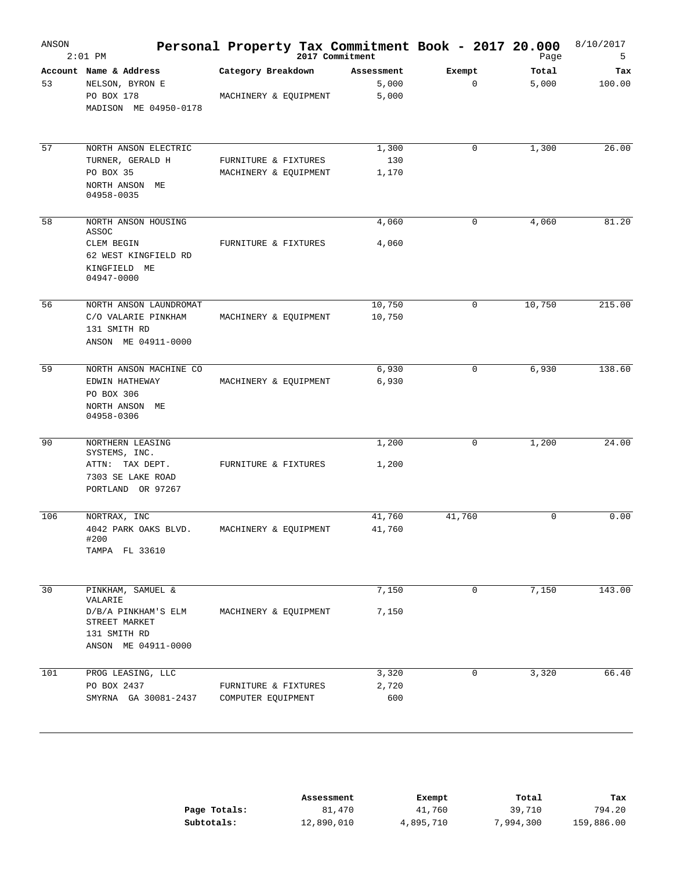| ANSON | $2:01$ PM                                                                                                   | Personal Property Tax Commitment Book - 2017 20.000 | 2017 Commitment |                              |        |             | Page           | 8/10/2017<br>5 |
|-------|-------------------------------------------------------------------------------------------------------------|-----------------------------------------------------|-----------------|------------------------------|--------|-------------|----------------|----------------|
| 53    | Account Name & Address<br>NELSON, BYRON E<br>PO BOX 178<br>MADISON ME 04950-0178                            | Category Breakdown<br>MACHINERY & EQUIPMENT         |                 | Assessment<br>5,000<br>5,000 | Exempt | $\mathbf 0$ | Total<br>5,000 | Tax<br>100.00  |
| 57    | NORTH ANSON ELECTRIC<br>TURNER, GERALD H<br>PO BOX 35<br>NORTH ANSON ME                                     | FURNITURE & FIXTURES<br>MACHINERY & EQUIPMENT       |                 | 1,300<br>130<br>1,170        |        | 0           | 1,300          | 26.00          |
| 58    | 04958-0035<br>NORTH ANSON HOUSING                                                                           |                                                     |                 | 4,060                        |        | 0           | 4,060          | 81.20          |
|       | ASSOC<br>CLEM BEGIN<br>62 WEST KINGFIELD RD<br>KINGFIELD ME<br>04947-0000                                   | FURNITURE & FIXTURES                                |                 | 4,060                        |        |             |                |                |
| 56    | NORTH ANSON LAUNDROMAT<br>C/O VALARIE PINKHAM<br>131 SMITH RD<br>ANSON ME 04911-0000                        | MACHINERY & EQUIPMENT                               |                 | 10,750<br>10,750             |        | 0           | 10,750         | 215.00         |
| 59    | NORTH ANSON MACHINE CO<br>EDWIN HATHEWAY<br>PO BOX 306<br>NORTH ANSON ME<br>04958-0306                      | MACHINERY & EQUIPMENT                               |                 | 6,930<br>6,930               |        | 0           | 6,930          | 138.60         |
| 90    | NORTHERN LEASING<br>SYSTEMS, INC.<br>ATTN: TAX DEPT.<br>7303 SE LAKE ROAD<br>PORTLAND OR 97267              | FURNITURE & FIXTURES                                |                 | 1,200<br>1,200               |        | $\mathbf 0$ | 1,200          | 24.00          |
| 106   | NORTRAX, INC<br>4042 PARK OAKS BLVD.<br>#200<br>TAMPA FL 33610                                              | MACHINERY & EQUIPMENT                               |                 | 41,760<br>41,760             | 41,760 |             | 0              | 0.00           |
| 30    | PINKHAM, SAMUEL &<br>VALARIE<br>D/B/A PINKHAM'S ELM<br>STREET MARKET<br>131 SMITH RD<br>ANSON ME 04911-0000 | MACHINERY & EQUIPMENT                               |                 | 7,150<br>7,150               |        | $\mathbf 0$ | 7,150          | 143.00         |
| 101   | PROG LEASING, LLC<br>PO BOX 2437<br>SMYRNA GA 30081-2437                                                    | FURNITURE & FIXTURES<br>COMPUTER EQUIPMENT          |                 | 3,320<br>2,720<br>600        |        | 0           | 3,320          | 66.40          |

|              | Assessment | Exempt    | Total     | Tax        |
|--------------|------------|-----------|-----------|------------|
| Page Totals: | 81,470     | 41,760    | 39,710    | 794.20     |
| Subtotals:   | 12,890,010 | 4,895,710 | 7,994,300 | 159,886.00 |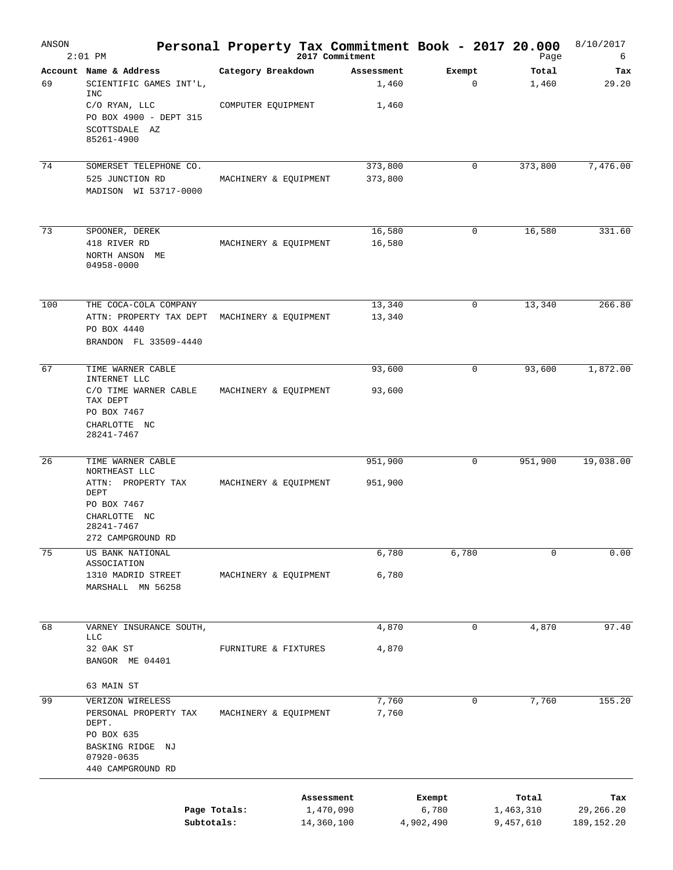| ANSON | $2:01$ PM                                                                                                                                |                                          | Personal Property Tax Commitment Book - 2017 20.000<br>2017 Commitment |                              | Page                            | 8/10/2017<br>6                   |
|-------|------------------------------------------------------------------------------------------------------------------------------------------|------------------------------------------|------------------------------------------------------------------------|------------------------------|---------------------------------|----------------------------------|
| 69    | Account Name & Address<br>SCIENTIFIC GAMES INT'L,<br>INC<br>C/O RYAN, LLC<br>PO BOX 4900 - DEPT 315<br>SCOTTSDALE AZ<br>85261-4900       | Category Breakdown<br>COMPUTER EQUIPMENT | Assessment<br>1,460<br>1,460                                           | Exempt<br>0                  | Total<br>1,460                  | Tax<br>29.20                     |
| 74    | SOMERSET TELEPHONE CO.<br>525 JUNCTION RD<br>MADISON WI 53717-0000                                                                       | MACHINERY & EQUIPMENT                    | 373,800<br>373,800                                                     | 0                            | 373,800                         | 7,476.00                         |
| 73    | SPOONER, DEREK<br>418 RIVER RD<br>NORTH ANSON ME<br>04958-0000                                                                           | MACHINERY & EQUIPMENT                    | 16,580<br>16,580                                                       | 0                            | 16,580                          | 331.60                           |
| 100   | THE COCA-COLA COMPANY<br>ATTN: PROPERTY TAX DEPT<br>PO BOX 4440<br>BRANDON FL 33509-4440                                                 | MACHINERY & EQUIPMENT                    | 13,340<br>13,340                                                       | 0                            | 13,340                          | 266.80                           |
| 67    | TIME WARNER CABLE<br>INTERNET LLC<br>C/O TIME WARNER CABLE<br>TAX DEPT<br>PO BOX 7467<br>CHARLOTTE NC<br>28241-7467                      | MACHINERY & EQUIPMENT                    | 93,600<br>93,600                                                       | 0                            | 93,600                          | 1,872.00                         |
| 26    | TIME WARNER CABLE<br>NORTHEAST LLC<br>ATTN: PROPERTY TAX<br>DEPT<br>PO BOX 7467<br>CHARLOTTE NC<br>28241-7467<br>272 CAMPGROUND RD       | MACHINERY & EQUIPMENT                    | 951,900<br>951,900                                                     | 0                            | 951,900                         | 19,038.00                        |
| 75    | US BANK NATIONAL<br>ASSOCIATION<br>1310 MADRID STREET<br>MARSHALL MN 56258                                                               | MACHINERY & EQUIPMENT                    | 6,780<br>6,780                                                         | 6,780                        | 0                               | 0.00                             |
| 68    | VARNEY INSURANCE SOUTH,<br><b>LLC</b><br>32 OAK ST<br>BANGOR ME 04401                                                                    | FURNITURE & FIXTURES                     | 4,870<br>4,870                                                         | 0                            | 4,870                           | 97.40                            |
| 99    | 63 MAIN ST<br>VERIZON WIRELESS<br>PERSONAL PROPERTY TAX<br>DEPT.<br>PO BOX 635<br>BASKING RIDGE<br>ΝJ<br>07920-0635<br>440 CAMPGROUND RD | MACHINERY & EQUIPMENT                    | 7,760<br>7,760                                                         | 0                            | 7,760                           | 155.20                           |
|       | Page Totals:<br>Subtotals:                                                                                                               |                                          | Assessment<br>1,470,090<br>14,360,100                                  | Exempt<br>6,780<br>4,902,490 | Total<br>1,463,310<br>9,457,610 | Tax<br>29,266.20<br>189, 152. 20 |